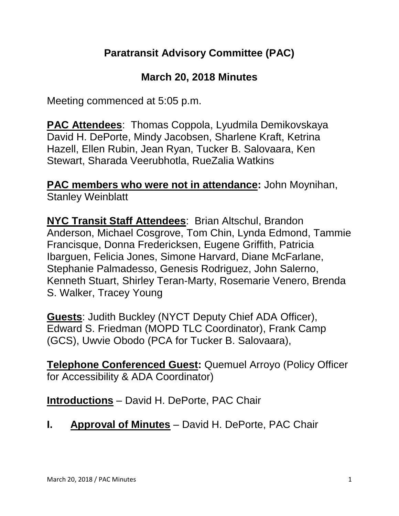# **Paratransit Advisory Committee (PAC)**

#### **March 20, 2018 Minutes**

Meeting commenced at 5:05 p.m.

**PAC Attendees**: Thomas Coppola, Lyudmila Demikovskaya David H. DePorte, Mindy Jacobsen, Sharlene Kraft, Ketrina Hazell, Ellen Rubin, Jean Ryan, Tucker B. Salovaara, Ken Stewart, Sharada Veerubhotla, RueZalia Watkins

**PAC members who were not in attendance:** John Moynihan, Stanley Weinblatt

**NYC Transit Staff Attendees**: Brian Altschul, Brandon Anderson, Michael Cosgrove, Tom Chin, Lynda Edmond, Tammie Francisque, Donna Fredericksen, Eugene Griffith, Patricia Ibarguen, Felicia Jones, Simone Harvard, Diane McFarlane, Stephanie Palmadesso, Genesis Rodriguez, John Salerno, Kenneth Stuart, Shirley Teran-Marty, Rosemarie Venero, Brenda S. Walker, Tracey Young

**Guests**: Judith Buckley (NYCT Deputy Chief ADA Officer), Edward S. Friedman (MOPD TLC Coordinator), Frank Camp (GCS), Uwvie Obodo (PCA for Tucker B. Salovaara),

**Telephone Conferenced Guest:** Quemuel Arroyo (Policy Officer for Accessibility & ADA Coordinator)

**Introductions** – David H. DePorte, PAC Chair

**I. Approval of Minutes** – David H. DePorte, PAC Chair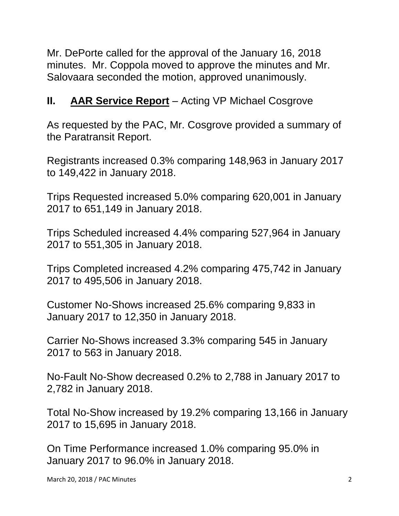Mr. DePorte called for the approval of the January 16, 2018 minutes. Mr. Coppola moved to approve the minutes and Mr. Salovaara seconded the motion, approved unanimously.

# **II. AAR Service Report** – Acting VP Michael Cosgrove

As requested by the PAC, Mr. Cosgrove provided a summary of the Paratransit Report.

Registrants increased 0.3% comparing 148,963 in January 2017 to 149,422 in January 2018.

Trips Requested increased 5.0% comparing 620,001 in January 2017 to 651,149 in January 2018.

Trips Scheduled increased 4.4% comparing 527,964 in January 2017 to 551,305 in January 2018.

Trips Completed increased 4.2% comparing 475,742 in January 2017 to 495,506 in January 2018.

Customer No-Shows increased 25.6% comparing 9,833 in January 2017 to 12,350 in January 2018.

Carrier No-Shows increased 3.3% comparing 545 in January 2017 to 563 in January 2018.

No-Fault No-Show decreased 0.2% to 2,788 in January 2017 to 2,782 in January 2018.

Total No-Show increased by 19.2% comparing 13,166 in January 2017 to 15,695 in January 2018.

On Time Performance increased 1.0% comparing 95.0% in January 2017 to 96.0% in January 2018.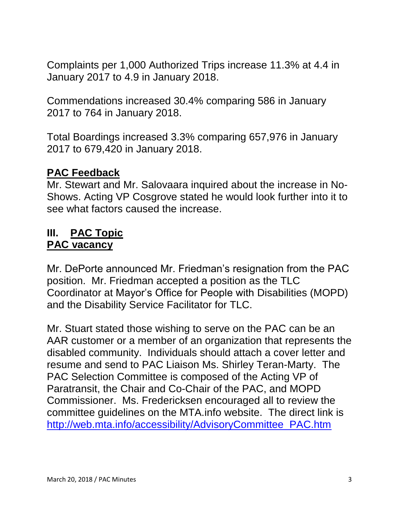Complaints per 1,000 Authorized Trips increase 11.3% at 4.4 in January 2017 to 4.9 in January 2018.

Commendations increased 30.4% comparing 586 in January 2017 to 764 in January 2018.

Total Boardings increased 3.3% comparing 657,976 in January 2017 to 679,420 in January 2018.

#### **PAC Feedback**

Mr. Stewart and Mr. Salovaara inquired about the increase in No-Shows. Acting VP Cosgrove stated he would look further into it to see what factors caused the increase.

#### **III. PAC Topic PAC vacancy**

Mr. DePorte announced Mr. Friedman's resignation from the PAC position. Mr. Friedman accepted a position as the TLC Coordinator at Mayor's Office for People with Disabilities (MOPD) and the Disability Service Facilitator for TLC.

Mr. Stuart stated those wishing to serve on the PAC can be an AAR customer or a member of an organization that represents the disabled community. Individuals should attach a cover letter and resume and send to PAC Liaison Ms. Shirley Teran-Marty. The PAC Selection Committee is composed of the Acting VP of Paratransit, the Chair and Co-Chair of the PAC, and MOPD Commissioner. Ms. Fredericksen encouraged all to review the committee guidelines on the MTA.info website. The direct link is [http://web.mta.info/accessibility/AdvisoryCommittee\\_PAC.htm](http://web.mta.info/accessibility/AdvisoryCommittee_PAC.htm)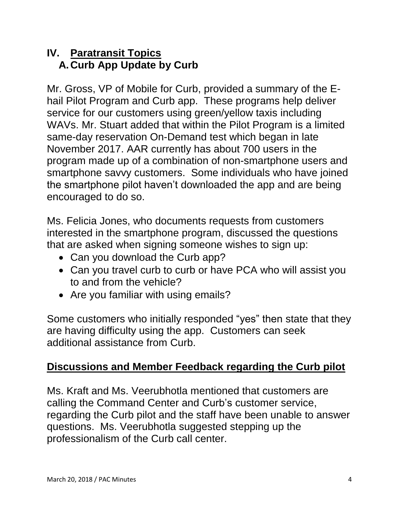### **IV. Paratransit Topics A.Curb App Update by Curb**

Mr. Gross, VP of Mobile for Curb, provided a summary of the Ehail Pilot Program and Curb app. These programs help deliver service for our customers using green/yellow taxis including WAVs. Mr. Stuart added that within the Pilot Program is a limited same-day reservation On-Demand test which began in late November 2017. AAR currently has about 700 users in the program made up of a combination of non-smartphone users and smartphone savvy customers. Some individuals who have joined the smartphone pilot haven't downloaded the app and are being encouraged to do so.

Ms. Felicia Jones, who documents requests from customers interested in the smartphone program, discussed the questions that are asked when signing someone wishes to sign up:

- Can you download the Curb app?
- Can you travel curb to curb or have PCA who will assist you to and from the vehicle?
- Are you familiar with using emails?

Some customers who initially responded "yes" then state that they are having difficulty using the app. Customers can seek additional assistance from Curb.

### **Discussions and Member Feedback regarding the Curb pilot**

Ms. Kraft and Ms. Veerubhotla mentioned that customers are calling the Command Center and Curb's customer service, regarding the Curb pilot and the staff have been unable to answer questions. Ms. Veerubhotla suggested stepping up the professionalism of the Curb call center.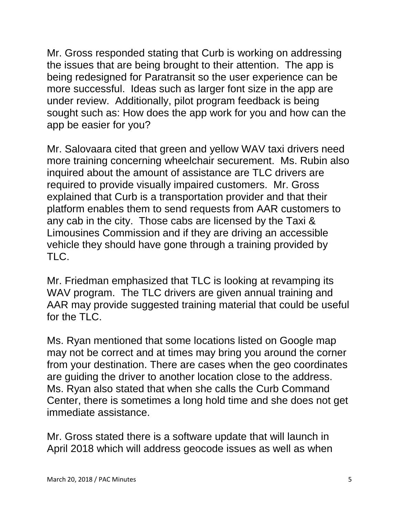Mr. Gross responded stating that Curb is working on addressing the issues that are being brought to their attention. The app is being redesigned for Paratransit so the user experience can be more successful. Ideas such as larger font size in the app are under review. Additionally, pilot program feedback is being sought such as: How does the app work for you and how can the app be easier for you?

Mr. Salovaara cited that green and yellow WAV taxi drivers need more training concerning wheelchair securement. Ms. Rubin also inquired about the amount of assistance are TLC drivers are required to provide visually impaired customers. Mr. Gross explained that Curb is a transportation provider and that their platform enables them to send requests from AAR customers to any cab in the city. Those cabs are licensed by the Taxi & Limousines Commission and if they are driving an accessible vehicle they should have gone through a training provided by TLC.

Mr. Friedman emphasized that TLC is looking at revamping its WAV program. The TLC drivers are given annual training and AAR may provide suggested training material that could be useful for the  $TI$   $C$ .

Ms. Ryan mentioned that some locations listed on Google map may not be correct and at times may bring you around the corner from your destination. There are cases when the geo coordinates are guiding the driver to another location close to the address. Ms. Ryan also stated that when she calls the Curb Command Center, there is sometimes a long hold time and she does not get immediate assistance.

Mr. Gross stated there is a software update that will launch in April 2018 which will address geocode issues as well as when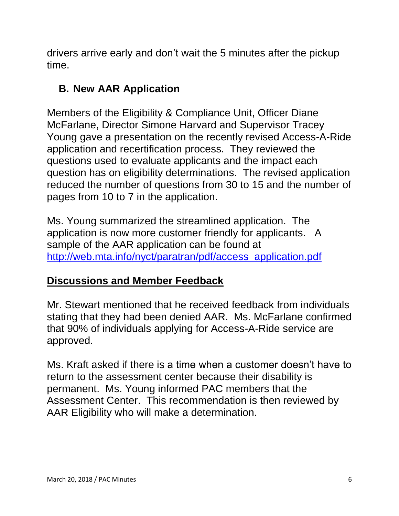drivers arrive early and don't wait the 5 minutes after the pickup time.

# **B. New AAR Application**

Members of the Eligibility & Compliance Unit, Officer Diane McFarlane, Director Simone Harvard and Supervisor Tracey Young gave a presentation on the recently revised Access-A-Ride application and recertification process. They reviewed the questions used to evaluate applicants and the impact each question has on eligibility determinations. The revised application reduced the number of questions from 30 to 15 and the number of pages from 10 to 7 in the application.

Ms. Young summarized the streamlined application. The application is now more customer friendly for applicants. A sample of the AAR application can be found at [http://web.mta.info/nyct/paratran/pdf/access\\_application.pdf](http://web.mta.info/nyct/paratran/pdf/access_application.pdf)

# **Discussions and Member Feedback**

Mr. Stewart mentioned that he received feedback from individuals stating that they had been denied AAR. Ms. McFarlane confirmed that 90% of individuals applying for Access-A-Ride service are approved.

Ms. Kraft asked if there is a time when a customer doesn't have to return to the assessment center because their disability is permanent. Ms. Young informed PAC members that the Assessment Center. This recommendation is then reviewed by AAR Eligibility who will make a determination.